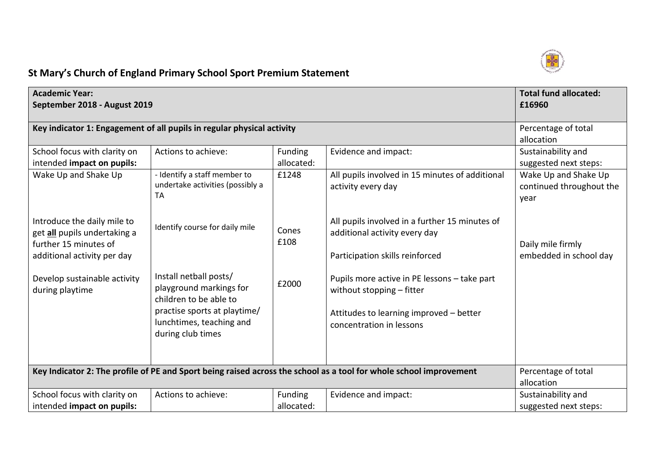

## **St Mary's Church of England Primary School Sport Premium Statement**

| <b>Academic Year:</b><br>September 2018 - August 2019                                                               |                                                                                                                                                              |                              |                                                                                                                                                  | <b>Total fund allocated:</b><br>£16960                   |
|---------------------------------------------------------------------------------------------------------------------|--------------------------------------------------------------------------------------------------------------------------------------------------------------|------------------------------|--------------------------------------------------------------------------------------------------------------------------------------------------|----------------------------------------------------------|
|                                                                                                                     | Key indicator 1: Engagement of all pupils in regular physical activity                                                                                       |                              |                                                                                                                                                  | Percentage of total<br>allocation                        |
| School focus with clarity on<br>intended impact on pupils:                                                          | Actions to achieve:                                                                                                                                          | <b>Funding</b><br>allocated: | Evidence and impact:                                                                                                                             | Sustainability and<br>suggested next steps:              |
| Wake Up and Shake Up                                                                                                | - Identify a staff member to<br>undertake activities (possibly a<br><b>TA</b>                                                                                | £1248                        | All pupils involved in 15 minutes of additional<br>activity every day                                                                            | Wake Up and Shake Up<br>continued throughout the<br>year |
| Introduce the daily mile to<br>get all pupils undertaking a<br>further 15 minutes of<br>additional activity per day | Identify course for daily mile                                                                                                                               | Cones<br>£108                | All pupils involved in a further 15 minutes of<br>additional activity every day<br>Participation skills reinforced                               | Daily mile firmly<br>embedded in school day              |
| Develop sustainable activity<br>during playtime                                                                     | Install netball posts/<br>playground markings for<br>children to be able to<br>practise sports at playtime/<br>lunchtimes, teaching and<br>during club times | £2000                        | Pupils more active in PE lessons - take part<br>without stopping - fitter<br>Attitudes to learning improved - better<br>concentration in lessons |                                                          |
|                                                                                                                     |                                                                                                                                                              |                              | Key Indicator 2: The profile of PE and Sport being raised across the school as a tool for whole school improvement                               | Percentage of total<br>allocation                        |
| School focus with clarity on<br>intended impact on pupils:                                                          | Actions to achieve:                                                                                                                                          | Funding<br>allocated:        | Evidence and impact:                                                                                                                             | Sustainability and<br>suggested next steps:              |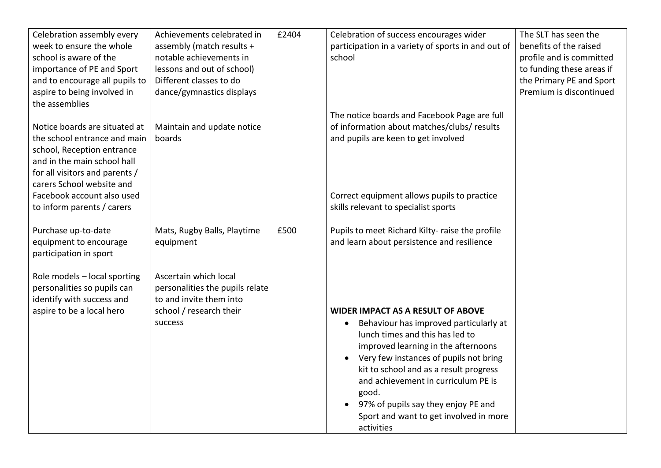| Celebration assembly every<br>week to ensure the whole<br>school is aware of the<br>importance of PE and Sport<br>and to encourage all pupils to<br>aspire to being involved in | Achievements celebrated in<br>assembly (match results +<br>notable achievements in<br>lessons and out of school)<br>Different classes to do<br>dance/gymnastics displays | £2404 | Celebration of success encourages wider<br>participation in a variety of sports in and out of<br>school                                                                                                                                                                                                                                                                                    | The SLT has seen the<br>benefits of the raised<br>profile and is committed<br>to funding these areas if<br>the Primary PE and Sport<br>Premium is discontinued |
|---------------------------------------------------------------------------------------------------------------------------------------------------------------------------------|--------------------------------------------------------------------------------------------------------------------------------------------------------------------------|-------|--------------------------------------------------------------------------------------------------------------------------------------------------------------------------------------------------------------------------------------------------------------------------------------------------------------------------------------------------------------------------------------------|----------------------------------------------------------------------------------------------------------------------------------------------------------------|
| the assemblies                                                                                                                                                                  |                                                                                                                                                                          |       |                                                                                                                                                                                                                                                                                                                                                                                            |                                                                                                                                                                |
| Notice boards are situated at                                                                                                                                                   | Maintain and update notice                                                                                                                                               |       | The notice boards and Facebook Page are full<br>of information about matches/clubs/ results                                                                                                                                                                                                                                                                                                |                                                                                                                                                                |
| the school entrance and main<br>school, Reception entrance<br>and in the main school hall<br>for all visitors and parents /<br>carers School website and                        | boards                                                                                                                                                                   |       | and pupils are keen to get involved                                                                                                                                                                                                                                                                                                                                                        |                                                                                                                                                                |
| Facebook account also used<br>to inform parents / carers                                                                                                                        |                                                                                                                                                                          |       | Correct equipment allows pupils to practice<br>skills relevant to specialist sports                                                                                                                                                                                                                                                                                                        |                                                                                                                                                                |
|                                                                                                                                                                                 |                                                                                                                                                                          |       |                                                                                                                                                                                                                                                                                                                                                                                            |                                                                                                                                                                |
| Purchase up-to-date<br>equipment to encourage<br>participation in sport                                                                                                         | Mats, Rugby Balls, Playtime<br>equipment                                                                                                                                 | £500  | Pupils to meet Richard Kilty-raise the profile<br>and learn about persistence and resilience                                                                                                                                                                                                                                                                                               |                                                                                                                                                                |
| Role models - local sporting<br>personalities so pupils can<br>identify with success and                                                                                        | Ascertain which local<br>personalities the pupils relate<br>to and invite them into<br>school / research their                                                           |       | <b>WIDER IMPACT AS A RESULT OF ABOVE</b>                                                                                                                                                                                                                                                                                                                                                   |                                                                                                                                                                |
| aspire to be a local hero                                                                                                                                                       | success                                                                                                                                                                  |       | Behaviour has improved particularly at<br>$\bullet$<br>lunch times and this has led to<br>improved learning in the afternoons<br>Very few instances of pupils not bring<br>$\bullet$<br>kit to school and as a result progress<br>and achievement in curriculum PE is<br>good.<br>97% of pupils say they enjoy PE and<br>$\bullet$<br>Sport and want to get involved in more<br>activities |                                                                                                                                                                |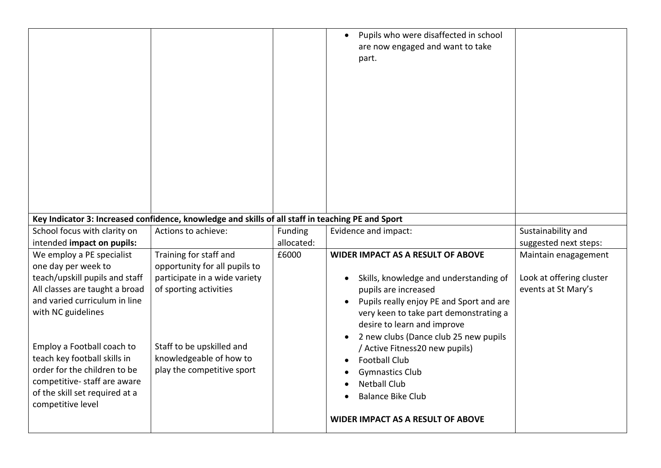|                                |                                                                                                   |            | Pupils who were disaffected in school<br>are now engaged and want to take<br>part. |                          |
|--------------------------------|---------------------------------------------------------------------------------------------------|------------|------------------------------------------------------------------------------------|--------------------------|
|                                | Key Indicator 3: Increased confidence, knowledge and skills of all staff in teaching PE and Sport |            |                                                                                    |                          |
| School focus with clarity on   | Actions to achieve:                                                                               | Funding    | Evidence and impact:                                                               | Sustainability and       |
| intended impact on pupils:     |                                                                                                   | allocated: |                                                                                    | suggested next steps:    |
| We employ a PE specialist      | Training for staff and                                                                            | £6000      | <b>WIDER IMPACT AS A RESULT OF ABOVE</b>                                           | Maintain enagagement     |
| one day per week to            | opportunity for all pupils to                                                                     |            |                                                                                    |                          |
| teach/upskill pupils and staff | participate in a wide variety                                                                     |            | Skills, knowledge and understanding of                                             | Look at offering cluster |
| All classes are taught a broad | of sporting activities                                                                            |            | pupils are increased                                                               | events at St Mary's      |
| and varied curriculum in line  |                                                                                                   |            | Pupils really enjoy PE and Sport and are                                           |                          |
| with NC guidelines             |                                                                                                   |            | very keen to take part demonstrating a                                             |                          |
|                                |                                                                                                   |            | desire to learn and improve                                                        |                          |
|                                |                                                                                                   |            | 2 new clubs (Dance club 25 new pupils                                              |                          |
| Employ a Football coach to     | Staff to be upskilled and                                                                         |            | / Active Fitness20 new pupils)                                                     |                          |
| teach key football skills in   | knowledgeable of how to                                                                           |            | <b>Football Club</b>                                                               |                          |
| order for the children to be   | play the competitive sport                                                                        |            | <b>Gymnastics Club</b>                                                             |                          |
| competitive-staff are aware    |                                                                                                   |            | <b>Netball Club</b>                                                                |                          |
| of the skill set required at a |                                                                                                   |            | <b>Balance Bike Club</b>                                                           |                          |
| competitive level              |                                                                                                   |            |                                                                                    |                          |
|                                |                                                                                                   |            | WIDER IMPACT AS A RESULT OF ABOVE                                                  |                          |
|                                |                                                                                                   |            |                                                                                    |                          |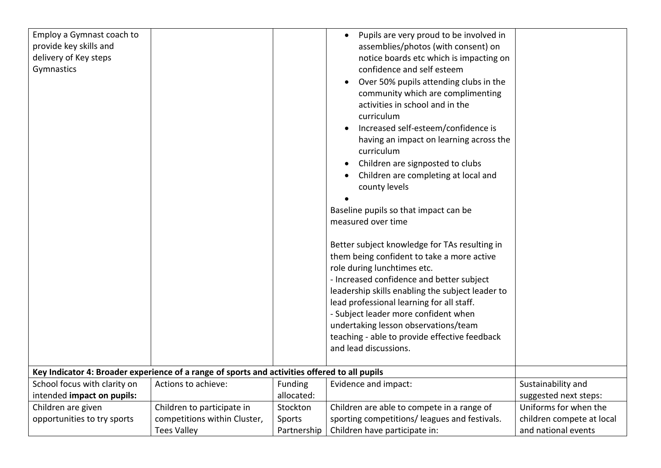| Employ a Gymnast coach to    |                                                                                               |             | Pupils are very proud to be involved in<br>$\bullet$ |                           |
|------------------------------|-----------------------------------------------------------------------------------------------|-------------|------------------------------------------------------|---------------------------|
| provide key skills and       |                                                                                               |             | assemblies/photos (with consent) on                  |                           |
| delivery of Key steps        |                                                                                               |             | notice boards etc which is impacting on              |                           |
| Gymnastics                   |                                                                                               |             | confidence and self esteem                           |                           |
|                              |                                                                                               |             | Over 50% pupils attending clubs in the               |                           |
|                              |                                                                                               |             | community which are complimenting                    |                           |
|                              |                                                                                               |             | activities in school and in the                      |                           |
|                              |                                                                                               |             | curriculum                                           |                           |
|                              |                                                                                               |             | Increased self-esteem/confidence is<br>$\bullet$     |                           |
|                              |                                                                                               |             | having an impact on learning across the              |                           |
|                              |                                                                                               |             | curriculum                                           |                           |
|                              |                                                                                               |             |                                                      |                           |
|                              |                                                                                               |             | Children are signposted to clubs                     |                           |
|                              |                                                                                               |             | Children are completing at local and                 |                           |
|                              |                                                                                               |             | county levels                                        |                           |
|                              |                                                                                               |             |                                                      |                           |
|                              |                                                                                               |             | Baseline pupils so that impact can be                |                           |
|                              |                                                                                               |             | measured over time                                   |                           |
|                              |                                                                                               |             | Better subject knowledge for TAs resulting in        |                           |
|                              |                                                                                               |             | them being confident to take a more active           |                           |
|                              |                                                                                               |             | role during lunchtimes etc.                          |                           |
|                              |                                                                                               |             | - Increased confidence and better subject            |                           |
|                              |                                                                                               |             | leadership skills enabling the subject leader to     |                           |
|                              |                                                                                               |             | lead professional learning for all staff.            |                           |
|                              |                                                                                               |             | - Subject leader more confident when                 |                           |
|                              |                                                                                               |             | undertaking lesson observations/team                 |                           |
|                              |                                                                                               |             | teaching - able to provide effective feedback        |                           |
|                              |                                                                                               |             | and lead discussions.                                |                           |
|                              |                                                                                               |             |                                                      |                           |
|                              | Key Indicator 4: Broader experience of a range of sports and activities offered to all pupils |             |                                                      |                           |
| School focus with clarity on | Actions to achieve:                                                                           | Funding     | Evidence and impact:                                 | Sustainability and        |
| intended impact on pupils:   |                                                                                               | allocated:  |                                                      | suggested next steps:     |
| Children are given           | Children to participate in                                                                    | Stockton    | Children are able to compete in a range of           | Uniforms for when the     |
| opportunities to try sports  | competitions within Cluster,                                                                  | Sports      | sporting competitions/ leagues and festivals.        | children compete at local |
|                              | <b>Tees Valley</b>                                                                            | Partnership | Children have participate in:                        | and national events       |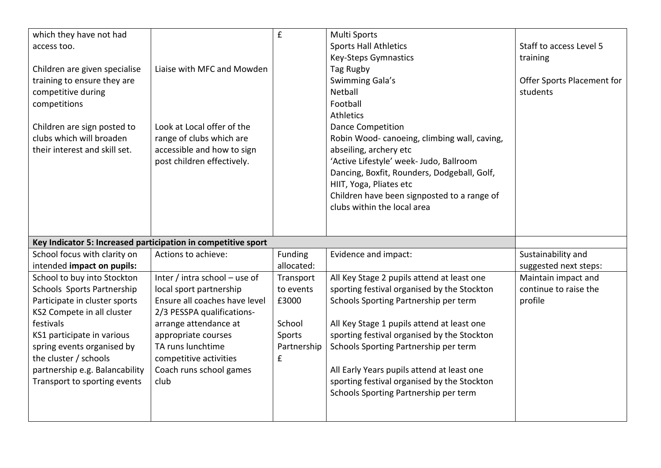| which they have not had<br>access too.<br>Children are given specialise<br>training to ensure they are<br>competitive during<br>competitions<br>Children are sign posted to<br>clubs which will broaden<br>their interest and skill set. | Liaise with MFC and Mowden<br>Look at Local offer of the<br>range of clubs which are<br>accessible and how to sign<br>post children effectively. | £                     | <b>Multi Sports</b><br><b>Sports Hall Athletics</b><br>Key-Steps Gymnastics<br>Tag Rugby<br>Swimming Gala's<br>Netball<br>Football<br>Athletics<br><b>Dance Competition</b><br>Robin Wood-canoeing, climbing wall, caving,<br>abseiling, archery etc<br>'Active Lifestyle' week- Judo, Ballroom<br>Dancing, Boxfit, Rounders, Dodgeball, Golf,<br>HIIT, Yoga, Pliates etc<br>Children have been signposted to a range of | Staff to access Level 5<br>training<br>Offer Sports Placement for<br>students |
|------------------------------------------------------------------------------------------------------------------------------------------------------------------------------------------------------------------------------------------|--------------------------------------------------------------------------------------------------------------------------------------------------|-----------------------|--------------------------------------------------------------------------------------------------------------------------------------------------------------------------------------------------------------------------------------------------------------------------------------------------------------------------------------------------------------------------------------------------------------------------|-------------------------------------------------------------------------------|
|                                                                                                                                                                                                                                          |                                                                                                                                                  |                       | clubs within the local area                                                                                                                                                                                                                                                                                                                                                                                              |                                                                               |
|                                                                                                                                                                                                                                          | Key Indicator 5: Increased participation in competitive sport                                                                                    |                       |                                                                                                                                                                                                                                                                                                                                                                                                                          |                                                                               |
| School focus with clarity on<br>intended impact on pupils:                                                                                                                                                                               | Actions to achieve:                                                                                                                              | Funding<br>allocated: | Evidence and impact:                                                                                                                                                                                                                                                                                                                                                                                                     | Sustainability and<br>suggested next steps:                                   |
| School to buy into Stockton                                                                                                                                                                                                              | Inter / intra school - use of                                                                                                                    | Transport             | All Key Stage 2 pupils attend at least one                                                                                                                                                                                                                                                                                                                                                                               | Maintain impact and                                                           |
| Schools Sports Partnership                                                                                                                                                                                                               | local sport partnership                                                                                                                          | to events             | sporting festival organised by the Stockton                                                                                                                                                                                                                                                                                                                                                                              | continue to raise the                                                         |
| Participate in cluster sports                                                                                                                                                                                                            | Ensure all coaches have level                                                                                                                    | £3000                 | Schools Sporting Partnership per term                                                                                                                                                                                                                                                                                                                                                                                    | profile                                                                       |
| KS2 Compete in all cluster                                                                                                                                                                                                               | 2/3 PESSPA qualifications-                                                                                                                       |                       |                                                                                                                                                                                                                                                                                                                                                                                                                          |                                                                               |
| festivals                                                                                                                                                                                                                                | arrange attendance at                                                                                                                            | School                | All Key Stage 1 pupils attend at least one                                                                                                                                                                                                                                                                                                                                                                               |                                                                               |
| KS1 participate in various                                                                                                                                                                                                               | appropriate courses                                                                                                                              | Sports                | sporting festival organised by the Stockton                                                                                                                                                                                                                                                                                                                                                                              |                                                                               |
| spring events organised by                                                                                                                                                                                                               | TA runs lunchtime                                                                                                                                | Partnership           | Schools Sporting Partnership per term                                                                                                                                                                                                                                                                                                                                                                                    |                                                                               |
| the cluster / schools                                                                                                                                                                                                                    | competitive activities                                                                                                                           | £                     |                                                                                                                                                                                                                                                                                                                                                                                                                          |                                                                               |
| partnership e.g. Balancability                                                                                                                                                                                                           | Coach runs school games                                                                                                                          |                       | All Early Years pupils attend at least one                                                                                                                                                                                                                                                                                                                                                                               |                                                                               |
| Transport to sporting events                                                                                                                                                                                                             | club                                                                                                                                             |                       | sporting festival organised by the Stockton<br>Schools Sporting Partnership per term                                                                                                                                                                                                                                                                                                                                     |                                                                               |
|                                                                                                                                                                                                                                          |                                                                                                                                                  |                       |                                                                                                                                                                                                                                                                                                                                                                                                                          |                                                                               |
|                                                                                                                                                                                                                                          |                                                                                                                                                  |                       |                                                                                                                                                                                                                                                                                                                                                                                                                          |                                                                               |